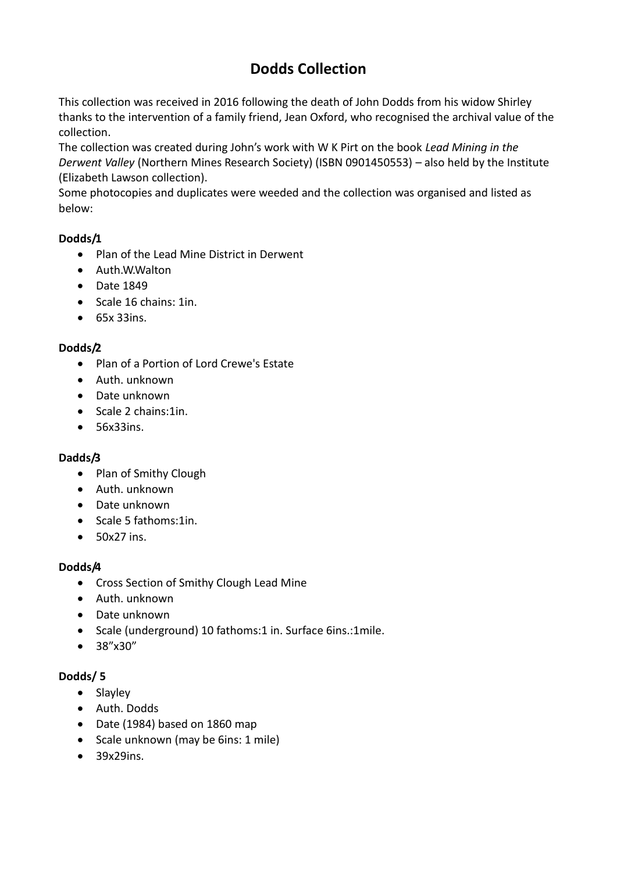# **Dodds Collection**

This collection was received in 2016 following the death of John Dodds from his widow Shirley thanks to the intervention of a family friend, Jean Oxford, who recognised the archival value of the collection.

The collection was created during John's work with W K Pirt on the book *Lead Mining in the Derwent Valley* (Northern Mines Research Society) (ISBN 0901450553) – also held by the Institute (Elizabeth Lawson collection).

Some photocopies and duplicates were weeded and the collection was organised and listed as below:

## **Dodds/1**

- Plan of the Lead Mine District in Derwent
- Auth.W.Walton
- Date 1849
- $\bullet$  Scale 16 chains: 1in.
- $65x$  33ins.

## **Dodds/2**

- Plan of a Portion of Lord Crewe's Estate
- Auth. unknown
- Date unknown
- Scale 2 chains:1in.
- 56x33ins.

## **Dadds/3**

- Plan of Smithy Clough
- Auth. unknown
- Date unknown
- Scale 5 fathoms:1in.
- 50x27 ins.

## **Dodds/4**

- Cross Section of Smithy Clough Lead Mine
- Auth. unknown
- Date unknown
- Scale (underground) 10 fathoms:1 in. Surface 6ins.:1mile.
- 38"x30"

## **Dodds/ 5**

- Slayley
- Auth. Dodds
- Date (1984) based on 1860 map
- Scale unknown (may be 6ins: 1 mile)
- 39x29ins.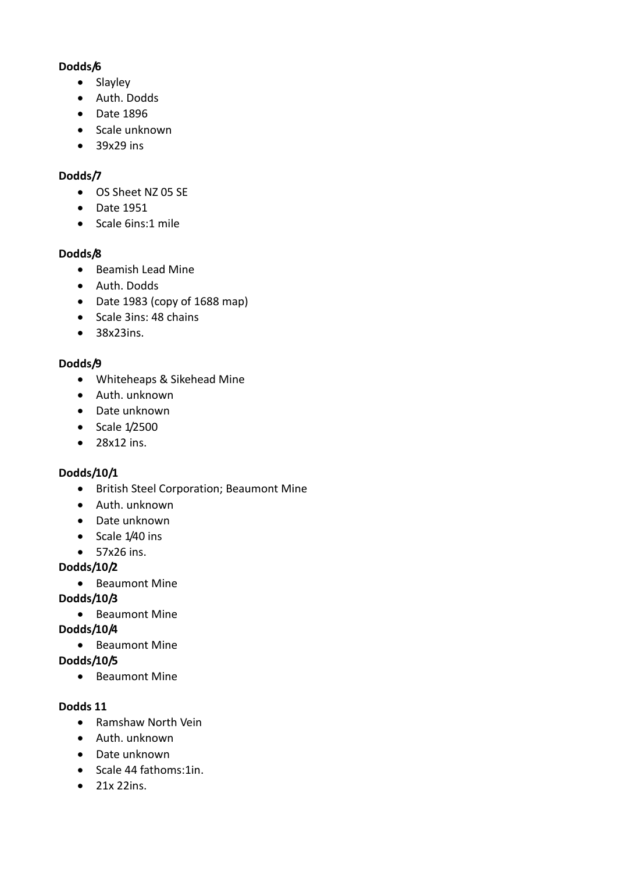#### **Dodds/6**

- Slayley
- Auth. Dodds
- Date 1896
- Scale unknown
- 39x29 ins

## **Dodds/7**

- OS Sheet NZ 05 SE
- Date 1951
- Scale 6ins:1 mile

## **Dodds/8**

- Beamish Lead Mine
- Auth. Dodds
- Date 1983 (copy of 1688 map)
- Scale 3ins: 48 chains
- 38x23ins.

## **Dodds/9**

- Whiteheaps & Sikehead Mine
- Auth. unknown
- Date unknown
- Scale 1/2500
- $\bullet$  28x12 ins.

# **Dodds/10/1**

- **•** British Steel Corporation; Beaumont Mine
- Auth. unknown
- Date unknown
- Scale 1/40 ins
- 57x26 ins.

# **Dodds/10/2**

• Beaumont Mine

# **Dodds/10/3**

• Beaumont Mine

# **Dodds/10/4**

• Beaumont Mine

# **Dodds/10/5**

• Beaumont Mine

## **Dodds 11**

- Ramshaw North Vein
- Auth. unknown
- Date unknown
- Scale 44 fathoms:1in.
- 21x 22ins.